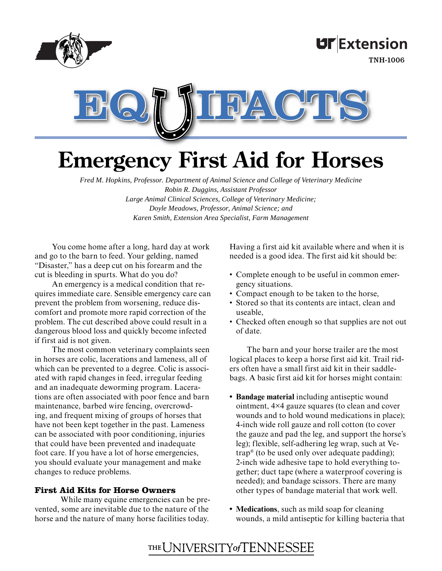

**UF**Extension

TNH-1006



# **Emergency First Aid for Horses**

*Fred M. Hopkins, Professor. Department of Animal Science and College of Veterinary Medicine Robin R. Duggins, Assistant Professor Large Animal Clinical Sciences, College of Veterinary Medicine; Doyle Meadows, Professor, Animal Science; and Karen Smith, Extension Area Specialist, Farm Management*

You come home after a long, hard day at work and go to the barn to feed. Your gelding, named "Disaster," has a deep cut on his forearm and the cut is bleeding in spurts. What do you do?

An emergency is a medical condition that requires immediate care. Sensible emergency care can prevent the problem from worsening, reduce discomfort and promote more rapid correction of the problem. The cut described above could result in a dangerous blood loss and quickly become infected if first aid is not given.

The most common veterinary complaints seen in horses are colic, lacerations and lameness, all of which can be prevented to a degree. Colic is associated with rapid changes in feed, irregular feeding and an inadequate deworming program. Lacerations are often associated with poor fence and barn maintenance, barbed wire fencing, overcrowding, and frequent mixing of groups of horses that have not been kept together in the past. Lameness can be associated with poor conditioning, injuries that could have been prevented and inadequate foot care. If you have a lot of horse emergencies, you should evaluate your management and make changes to reduce problems.

## **First Aid Kits for Horse Owners**

 While many equine emergencies can be prevented, some are inevitable due to the nature of the horse and the nature of many horse facilities today.

Having a first aid kit available where and when it is needed is a good idea. The first aid kit should be:

- Complete enough to be useful in common emer-• gency situations.
- Compact enough to be taken to the horse,
- Stored so that its contents are intact, clean and useable,
- Checked often enough so that supplies are not out of date.

The barn and your horse trailer are the most logical places to keep a horse first aid kit. Trail riders often have a small first aid kit in their saddlebags. A basic first aid kit for horses might contain:

- **Bandage material** including antiseptic wound **•** ointment, 4×4 gauze squares (to clean and cover wounds and to hold wound medications in place); 4-inch wide roll gauze and roll cotton (to cover the gauze and pad the leg, and support the horse's leg); flexible, self-adhering leg wrap, such at Vetrap® (to be used only over adequate padding); 2-inch wide adhesive tape to hold everything together; duct tape (where a waterproof covering is needed); and bandage scissors. There are many other types of bandage material that work well.
- **Medications**, such as mild soap for cleaning **•** wounds, a mild antiseptic for killing bacteria that

# THE UNIVERSITY of TENNESSEE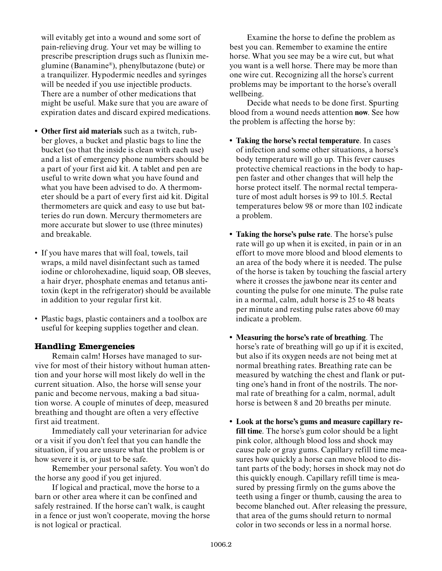will evitably get into a wound and some sort of pain-relieving drug. Your vet may be willing to prescribe prescription drugs such as flunixin meglumine (Banamine®), phenylbutazone (bute) or a tranquilizer. Hypodermic needles and syringes will be needed if you use injectible products. There are a number of other medications that might be useful. Make sure that you are aware of expiration dates and discard expired medications.

- **Other first aid materials** such as a twitch, rub-**•** ber gloves, a bucket and plastic bags to line the bucket (so that the inside is clean with each use) and a list of emergency phone numbers should be a part of your first aid kit. A tablet and pen are useful to write down what you have found and what you have been advised to do. A thermometer should be a part of every first aid kit. Digital thermometers are quick and easy to use but batteries do run down. Mercury thermometers are more accurate but slower to use (three minutes) and breakable.
- If you have mares that will foal, towels, tail wraps, a mild navel disinfectant such as tamed iodine or chlorohexadine, liquid soap, OB sleeves, a hair dryer, phosphate enemas and tetanus antitoxin (kept in the refrigerator) should be available in addition to your regular first kit.
- Plastic bags, plastic containers and a toolbox are useful for keeping supplies together and clean.

## **Handling Emergencies**

Remain calm! Horses have managed to survive for most of their history without human attention and your horse will most likely do well in the current situation. Also, the horse will sense your panic and become nervous, making a bad situation worse. A couple of minutes of deep, measured breathing and thought are often a very effective first aid treatment.

Immediately call your veterinarian for advice or a visit if you don't feel that you can handle the situation, if you are unsure what the problem is or how severe it is, or just to be safe.

Remember your personal safety. You won't do the horse any good if you get injured.

If logical and practical, move the horse to a barn or other area where it can be confined and safely restrained. If the horse can't walk, is caught in a fence or just won't cooperate, moving the horse is not logical or practical.

Examine the horse to define the problem as best you can. Remember to examine the entire horse. What you see may be a wire cut, but what you want is a well horse. There may be more than one wire cut. Recognizing all the horse's current problems may be important to the horse's overall wellbeing.

Decide what needs to be done first. Spurting blood from a wound needs attention **now**. See how the problem is affecting the horse by:

- **Taking the horse's rectal temperature**. In cases **•** of infection and some other situations, a horse's body temperature will go up. This fever causes protective chemical reactions in the body to happen faster and other changes that will help the horse protect itself. The normal rectal temperature of most adult horses is 99 to 101.5. Rectal temperatures below 98 or more than 102 indicate a problem.
- **Taking the horse's pulse rate**. The horse's pulse **•** rate will go up when it is excited, in pain or in an effort to move more blood and blood elements to an area of the body where it is needed. The pulse of the horse is taken by touching the fascial artery where it crosses the jawbone near its center and counting the pulse for one minute. The pulse rate in a normal, calm, adult horse is 25 to 48 beats per minute and resting pulse rates above 60 may indicate a problem.
- **Measuring the horse's rate of breathing**. The **•** horse's rate of breathing will go up if it is excited, but also if its oxygen needs are not being met at normal breathing rates. Breathing rate can be measured by watching the chest and flank or putting one's hand in front of the nostrils. The normal rate of breathing for a calm, normal, adult horse is between 8 and 20 breaths per minute.
- **Look at the horse's gums and measure capillary re-•fill time**. The horse's gum color should be a light pink color, although blood loss and shock may cause pale or gray gums. Capillary refill time measures how quickly a horse can move blood to distant parts of the body; horses in shock may not do this quickly enough. Capillary refill time is measured by pressing firmly on the gums above the teeth using a finger or thumb, causing the area to become blanched out. After releasing the pressure, that area of the gums should return to normal color in two seconds or less in a normal horse.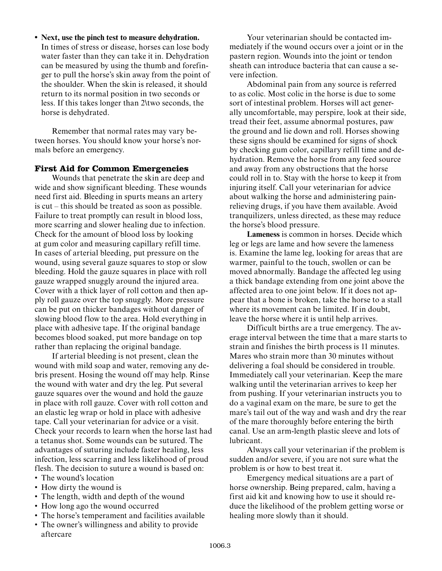**Next, use the pinch test to measure dehydration. •** In times of stress or disease, horses can lose body water faster than they can take it in. Dehydration can be measured by using the thumb and forefinger to pull the horse's skin away from the point of the shoulder. When the skin is released, it should return to its normal position in two seconds or less. If this takes longer than 2\two seconds, the horse is dehydrated.

Remember that normal rates may vary between horses. You should know your horse's normals before an emergency.

#### **First Aid for Common Emergencies**

Wounds that penetrate the skin are deep and wide and show significant bleeding. These wounds need first aid. Bleeding in spurts means an artery is cut – this should be treated as soon as possible. Failure to treat promptly can result in blood loss, more scarring and slower healing due to infection. Check for the amount of blood loss by looking at gum color and measuring capillary refill time. In cases of arterial bleeding, put pressure on the wound, using several gauze squares to stop or slow bleeding. Hold the gauze squares in place with roll gauze wrapped snuggly around the injured area. Cover with a thick layer of roll cotton and then apply roll gauze over the top snuggly. More pressure can be put on thicker bandages without danger of slowing blood flow to the area. Hold everything in place with adhesive tape. If the original bandage becomes blood soaked, put more bandage on top rather than replacing the original bandage.

If arterial bleeding is not present, clean the wound with mild soap and water, removing any debris present. Hosing the wound off may help. Rinse the wound with water and dry the leg. Put several gauze squares over the wound and hold the gauze in place with roll gauze. Cover with roll cotton and an elastic leg wrap or hold in place with adhesive tape. Call your veterinarian for advice or a visit. Check your records to learn when the horse last had a tetanus shot. Some wounds can be sutured. The advantages of suturing include faster healing, less infection, less scarring and less likelihood of proud flesh. The decision to suture a wound is based on:

- The wound's location
- How dirty the wound is
- The length, width and depth of the wound •
- How long ago the wound occurred
- The horse's temperament and facilities available •
- The owner's willingness and ability to provide aftercare

Your veterinarian should be contacted immediately if the wound occurs over a joint or in the pastern region. Wounds into the joint or tendon sheath can introduce bacteria that can cause a severe infection.

Abdominal pain from any source is referred to as colic. Most colic in the horse is due to some sort of intestinal problem. Horses will act generally uncomfortable, may perspire, look at their side, tread their feet, assume abnormal postures, paw the ground and lie down and roll. Horses showing these signs should be examined for signs of shock by checking gum color, capillary refill time and dehydration. Remove the horse from any feed source and away from any obstructions that the horse could roll in to. Stay with the horse to keep it from injuring itself. Call your veterinarian for advice about walking the horse and administering painrelieving drugs, if you have them available. Avoid tranquilizers, unless directed, as these may reduce the horse's blood pressure.

**Lameness** is common in horses. Decide which leg or legs are lame and how severe the lameness is. Examine the lame leg, looking for areas that are warmer, painful to the touch, swollen or can be moved abnormally. Bandage the affected leg using a thick bandage extending from one joint above the affected area to one joint below. If it does not appear that a bone is broken, take the horse to a stall where its movement can be limited. If in doubt, leave the horse where it is until help arrives.

Difficult births are a true emergency. The average interval between the time that a mare starts to strain and finishes the birth process is 11 minutes. Mares who strain more than 30 minutes without delivering a foal should be considered in trouble. Immediately call your veterinarian. Keep the mare walking until the veterinarian arrives to keep her from pushing. If your veterinarian instructs you to do a vaginal exam on the mare, be sure to get the mare's tail out of the way and wash and dry the rear of the mare thoroughly before entering the birth canal. Use an arm-length plastic sleeve and lots of lubricant.

Always call your veterinarian if the problem is sudden and/or severe, if you are not sure what the problem is or how to best treat it.

Emergency medical situations are a part of horse ownership. Being prepared, calm, having a first aid kit and knowing how to use it should reduce the likelihood of the problem getting worse or healing more slowly than it should.